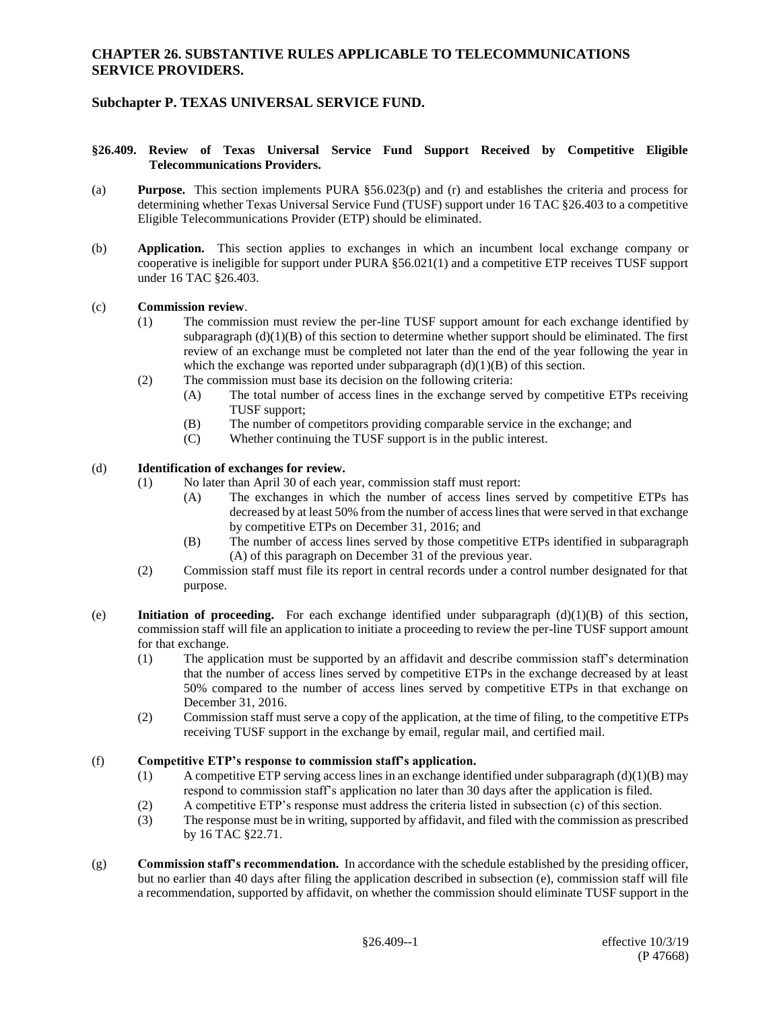### **CHAPTER 26. SUBSTANTIVE RULES APPLICABLE TO TELECOMMUNICATIONS SERVICE PROVIDERS.**

# **Subchapter P. TEXAS UNIVERSAL SERVICE FUND.**

### **§26.409. Review of Texas Universal Service Fund Support Received by Competitive Eligible Telecommunications Providers.**

- (a) **Purpose.** This section implements PURA §56.023(p) and (r) and establishes the criteria and process for determining whether Texas Universal Service Fund (TUSF) support under 16 TAC §26.403 to a competitive Eligible Telecommunications Provider (ETP) should be eliminated.
- (b) **Application.** This section applies to exchanges in which an incumbent local exchange company or cooperative is ineligible for support under PURA §56.021(1) and a competitive ETP receives TUSF support under 16 TAC §26.403.

#### (c) **Commission review**.

- (1) The commission must review the per-line TUSF support amount for each exchange identified by subparagraph  $(d)(1)(B)$  of this section to determine whether support should be eliminated. The first review of an exchange must be completed not later than the end of the year following the year in which the exchange was reported under subparagraph  $(d)(1)(B)$  of this section.
- (2) The commission must base its decision on the following criteria:
	- (A) The total number of access lines in the exchange served by competitive ETPs receiving TUSF support;
	- (B) The number of competitors providing comparable service in the exchange; and
	- (C) Whether continuing the TUSF support is in the public interest.

### (d) **Identification of exchanges for review.**

- (1) No later than April 30 of each year, commission staff must report:
	- (A) The exchanges in which the number of access lines served by competitive ETPs has decreased by at least 50% from the number of access lines that were served in that exchange by competitive ETPs on December 31, 2016; and
	- (B) The number of access lines served by those competitive ETPs identified in subparagraph (A) of this paragraph on December 31 of the previous year.
- (2) Commission staff must file its report in central records under a control number designated for that purpose.
- (e) **Initiation of proceeding.** For each exchange identified under subparagraph (d)(1)(B) of this section, commission staff will file an application to initiate a proceeding to review the per-line TUSF support amount for that exchange.
	- (1) The application must be supported by an affidavit and describe commission staff's determination that the number of access lines served by competitive ETPs in the exchange decreased by at least 50% compared to the number of access lines served by competitive ETPs in that exchange on December 31, 2016.
	- (2) Commission staff must serve a copy of the application, at the time of filing, to the competitive ETPs receiving TUSF support in the exchange by email, regular mail, and certified mail.

#### (f) **Competitive ETP's response to commission staff's application.**

- (1) A competitive ETP serving access lines in an exchange identified under subparagraph  $(d)(1)(B)$  may respond to commission staff's application no later than 30 days after the application is filed.
- (2) A competitive ETP's response must address the criteria listed in subsection (c) of this section.
- (3) The response must be in writing, supported by affidavit, and filed with the commission as prescribed by 16 TAC §22.71.
- (g) **Commission staff's recommendation.** In accordance with the schedule established by the presiding officer, but no earlier than 40 days after filing the application described in subsection (e), commission staff will file a recommendation, supported by affidavit, on whether the commission should eliminate TUSF support in the